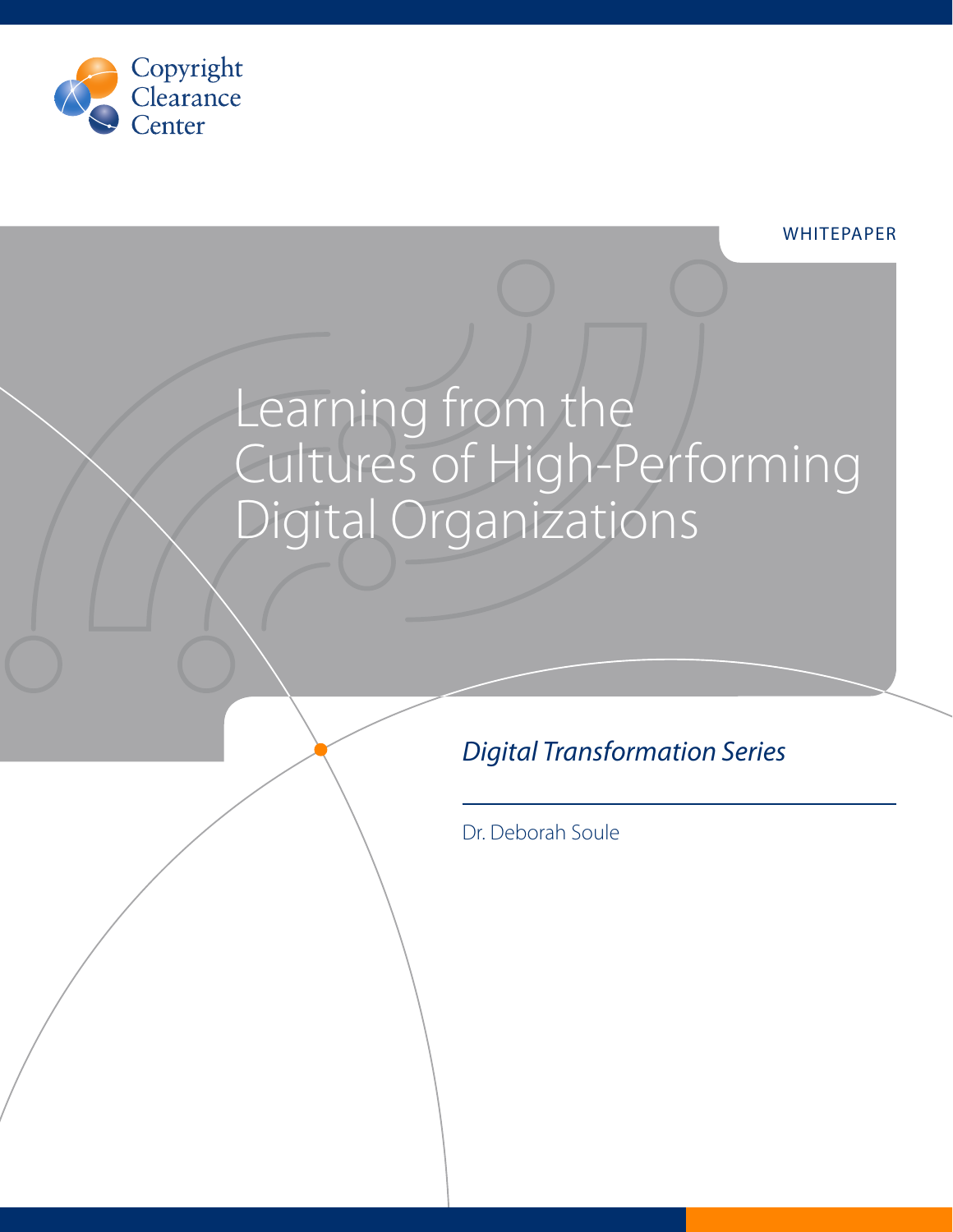

# Learning from the Cultures of High-Performing Digital Organizations

# *Digital Transformation Series*

Dr. Deborah Soule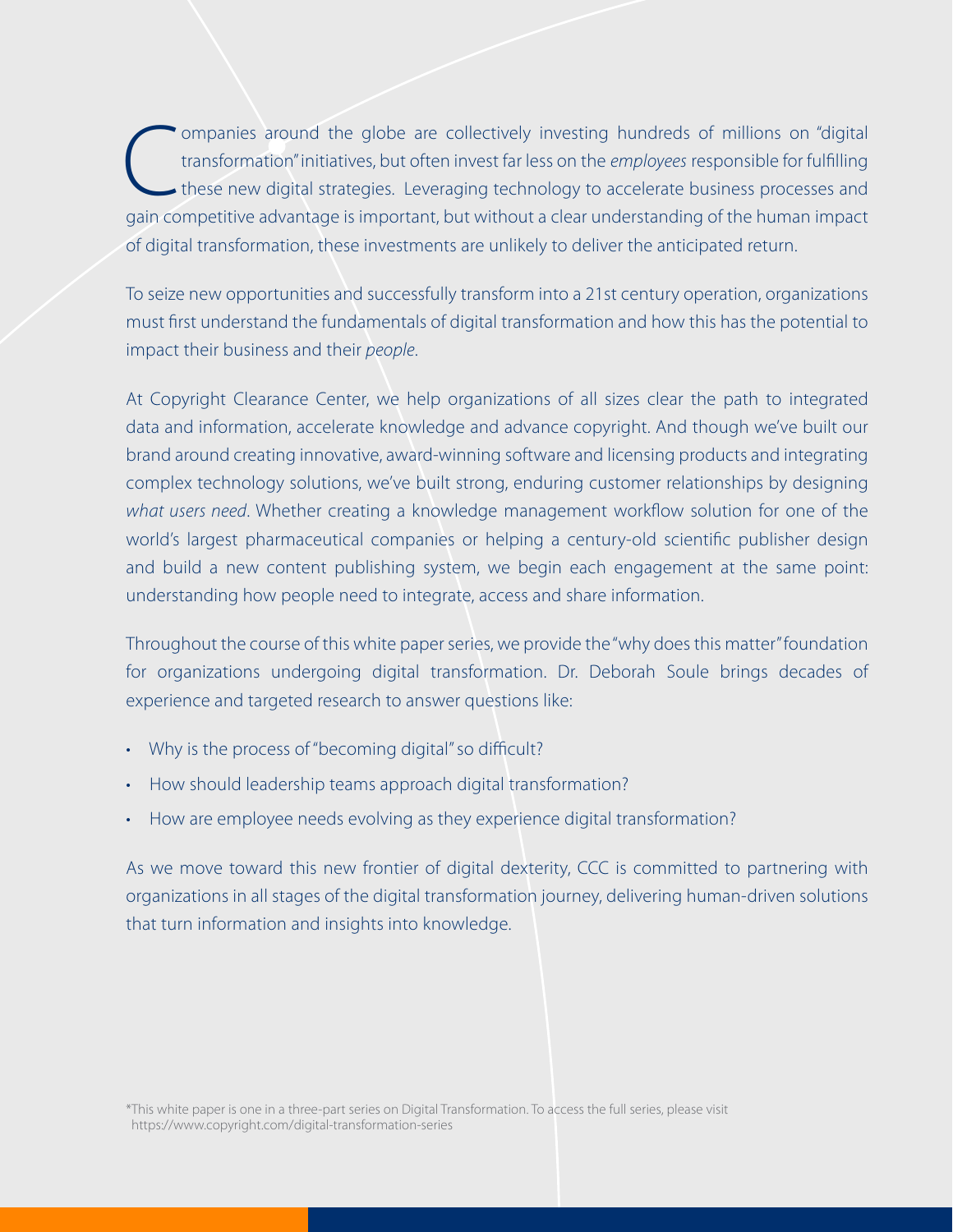Companies around the globe are collectively investing hundreds of millions on "digital"<br>transformation" initiatives, but often invest far less on the *employees* responsible for fulfilling<br>these new digital strategies. Lev transformation" initiatives, but often invest far less on the *employees* responsible for fulfilling these new digital strategies. Leveraging technology to accelerate business processes and gain competitive advantage is important, but without a clear understanding of the human impact of digital transformation, these investments are unlikely to deliver the anticipated return.

To seize new opportunities and successfully transform into a 21st century operation, organizations must first understand the fundamentals of digital transformation and how this has the potential to impact their business and their *people*.

At Copyright Clearance Center, we help organizations of all sizes clear the path to integrated data and information, accelerate knowledge and advance copyright. And though we've built our brand around creating innovative, award-winning software and licensing products and integrating complex technology solutions, we've built strong, enduring customer relationships by designing *what users need*. Whether creating a knowledge management workflow solution for one of the world's largest pharmaceutical companies or helping a century-old scientific publisher design and build a new content publishing system, we begin each engagement at the same point: understanding how people need to integrate, access and share information.

Throughout the course of this white paper series, we provide the "why does this matter" foundation for organizations undergoing digital transformation. Dr. Deborah Soule brings decades of experience and targeted research to answer questions like:

- Why is the process of "becoming digital" so difficult?
- How should leadership teams approach digital transformation?
- How are employee needs evolving as they experience digital transformation?

As we move toward this new frontier of digital dexterity, CCC is committed to partnering with organizations in all stages of the digital transformation journey, delivering human-driven solutions that turn information and insights into knowledge.

\*This white paper is one in a three-part series on Digital Transformation. To access the full series, please visit https://www.copyright.com/digital-transformation-series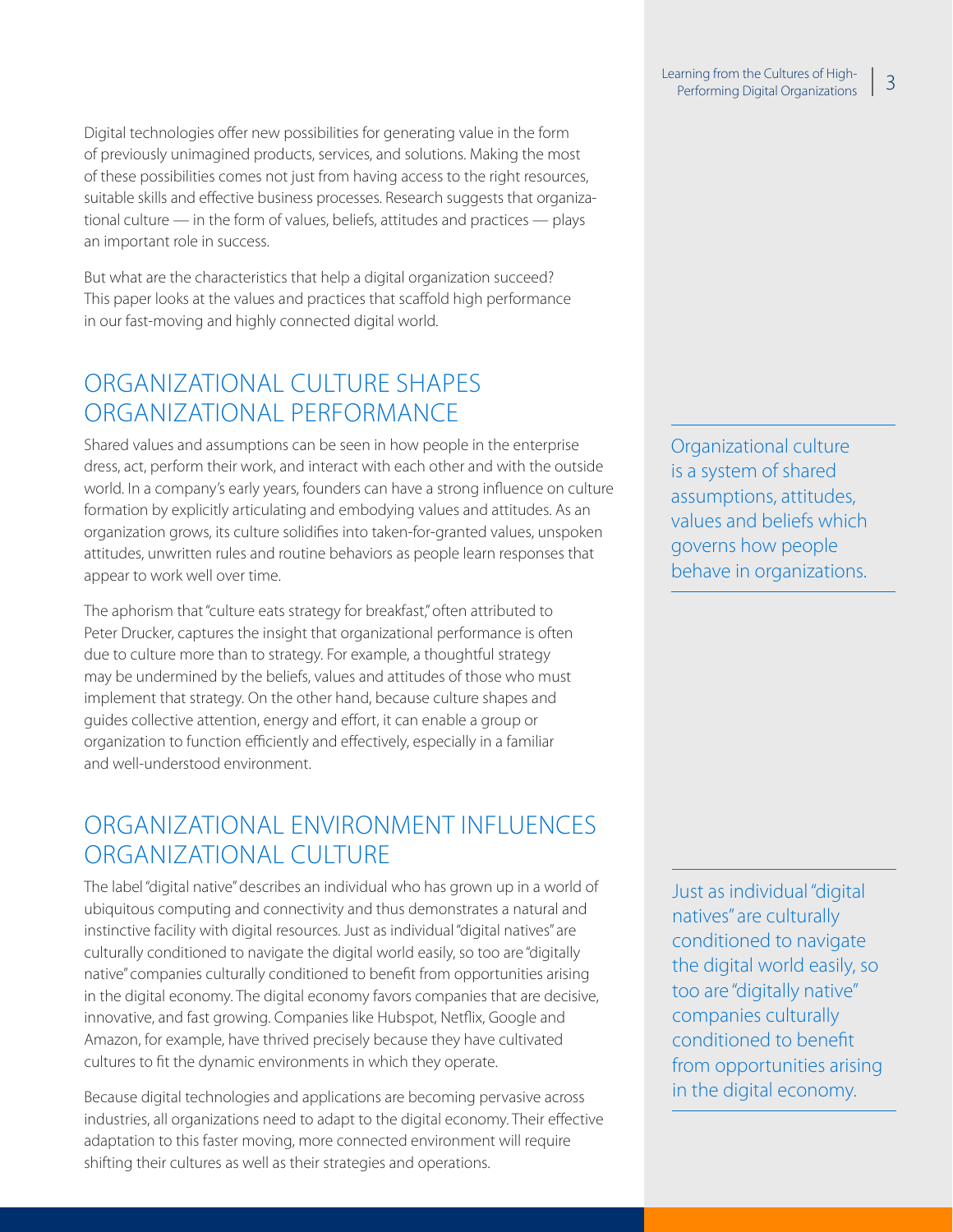Digital technologies offer new possibilities for generating value in the form of previously unimagined products, services, and solutions. Making the most of these possibilities comes not just from having access to the right resources, suitable skills and effective business processes. Research suggests that organizational culture — in the form of values, beliefs, attitudes and practices — plays an important role in success.

But what are the characteristics that help a digital organization succeed? This paper looks at the values and practices that scaffold high performance in our fast-moving and highly connected digital world.

# ORGANIZATIONAL CULTURE SHAPES ORGANIZATIONAL PERFORMANCE

Shared values and assumptions can be seen in how people in the enterprise dress, act, perform their work, and interact with each other and with the outside world. In a company's early years, founders can have a strong influence on culture formation by explicitly articulating and embodying values and attitudes. As an organization grows, its culture solidifies into taken-for-granted values, unspoken attitudes, unwritten rules and routine behaviors as people learn responses that appear to work well over time.

The aphorism that "culture eats strategy for breakfast," often attributed to Peter Drucker, captures the insight that organizational performance is often due to culture more than to strategy. For example, a thoughtful strategy may be undermined by the beliefs, values and attitudes of those who must implement that strategy. On the other hand, because culture shapes and guides collective attention, energy and effort, it can enable a group or organization to function efficiently and effectively, especially in a familiar and well-understood environment.

# ORGANIZATIONAL ENVIRONMENT INFLUENCES ORGANIZATIONAL CULTURE

The label "digital native" describes an individual who has grown up in a world of ubiquitous computing and connectivity and thus demonstrates a natural and instinctive facility with digital resources. Just as individual "digital natives" are culturally conditioned to navigate the digital world easily, so too are "digitally native" companies culturally conditioned to benefit from opportunities arising in the digital economy. The digital economy favors companies that are decisive, innovative, and fast growing. Companies like Hubspot, Netflix, Google and Amazon, for example, have thrived precisely because they have cultivated cultures to fit the dynamic environments in which they operate.

Because digital technologies and applications are becoming pervasive across industries, all organizations need to adapt to the digital economy. Their effective adaptation to this faster moving, more connected environment will require shifting their cultures as well as their strategies and operations.

Organizational culture is a system of shared assumptions, attitudes, values and beliefs which governs how people behave in organizations.

Just as individual "digital natives" are culturally conditioned to navigate the digital world easily, so too are "digitally native" companies culturally conditioned to benefit from opportunities arising in the digital economy.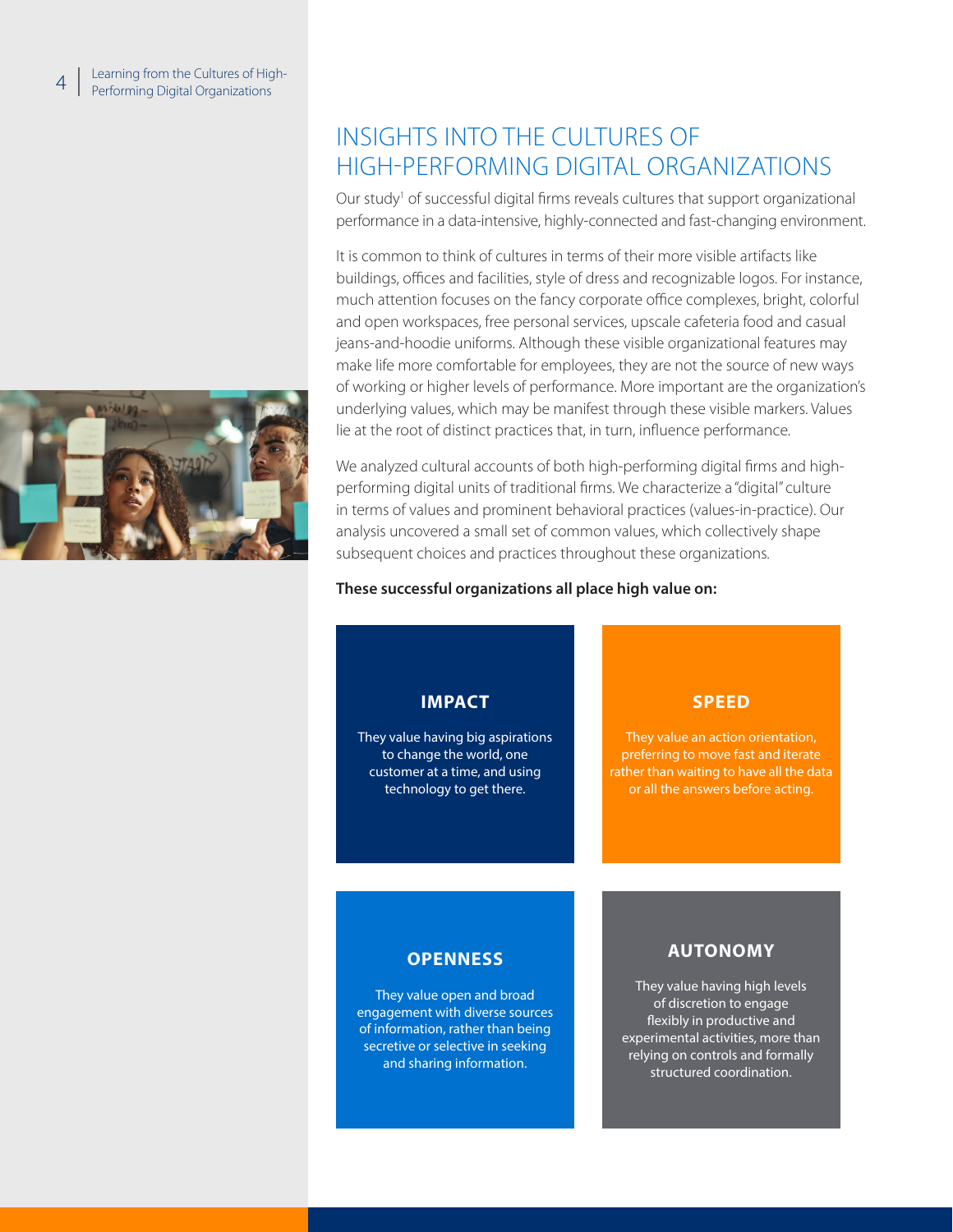

# INSIGHTS INTO THE CULTURES OF HIGH-PERFORMING DIGITAL ORGANIZATIONS

Our study<sup>1</sup> of successful digital firms reveals cultures that support organizational performance in a data-intensive, highly-connected and fast-changing environment.

It is common to think of cultures in terms of their more visible artifacts like buildings, offices and facilities, style of dress and recognizable logos. For instance, much attention focuses on the fancy corporate office complexes, bright, colorful and open workspaces, free personal services, upscale cafeteria food and casual jeans-and-hoodie uniforms. Although these visible organizational features may make life more comfortable for employees, they are not the source of new ways of working or higher levels of performance. More important are the organization's underlying values, which may be manifest through these visible markers. Values lie at the root of distinct practices that, in turn, influence performance.

We analyzed cultural accounts of both high-performing digital firms and highperforming digital units of traditional firms. We characterize a "digital" culture in terms of values and prominent behavioral practices (values-in-practice). Our analysis uncovered a small set of common values, which collectively shape subsequent choices and practices throughout these organizations.

#### **These successful organizations all place high value on:**

#### **IMPACT** They value having big aspirations to change the world, one customer at a time, and using technology to get there. **SPEED** They value an action orientation, preferring to move fast and iterate rather than waiting to have all the data or all the answers before acting. **OPENNESS** They value open and broad engagement with diverse sources of information, rather than being secretive or selective in seeking and sharing information. **AUTONOMY** They value having high levels of discretion to engage flexibly in productive and experimental activities, more than relying on controls and formally structured coordination.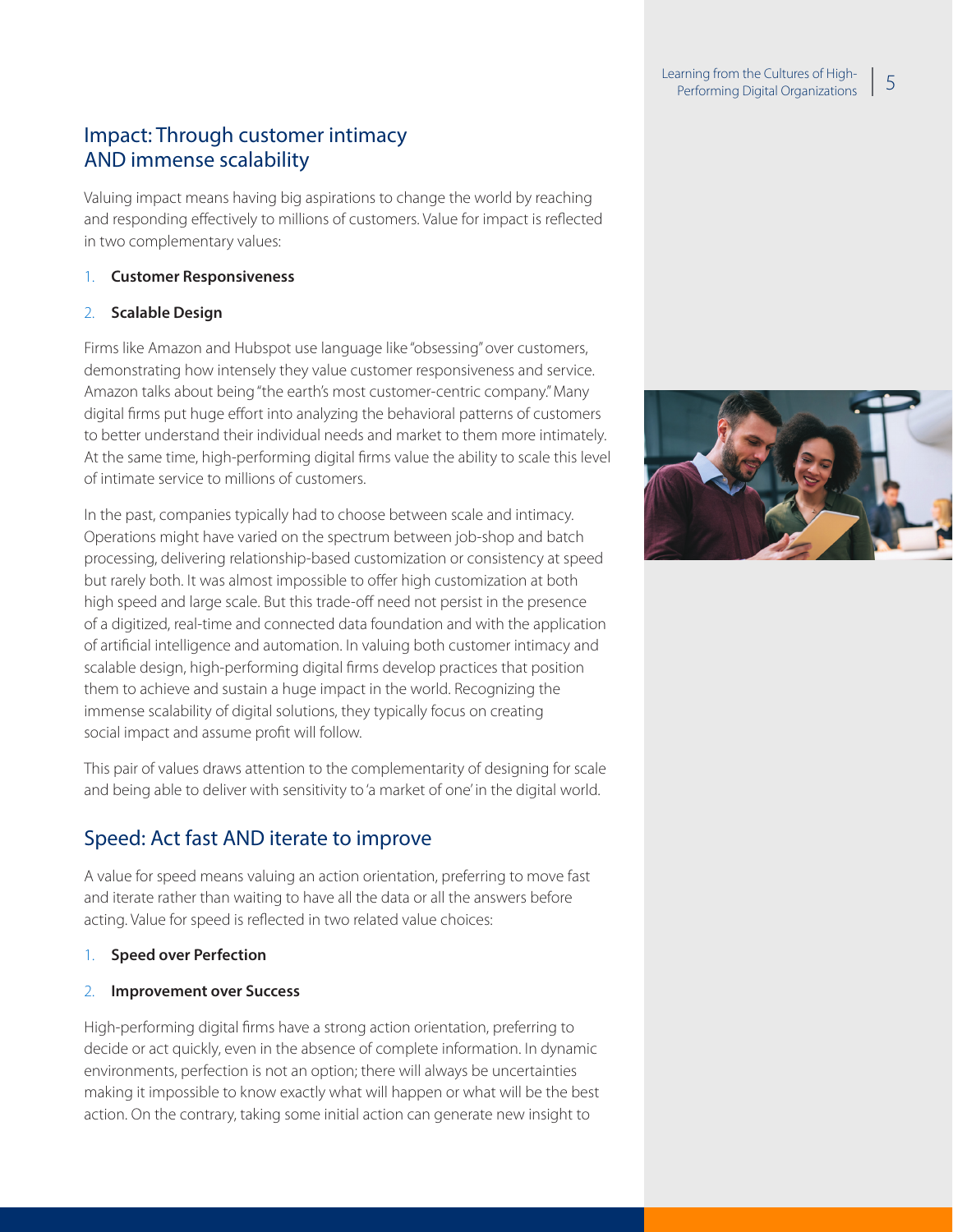#### Learning from the Cultures of Highaming from the Cultures of High-<br>Performing Digital Organizations 15

# Impact: Through customer intimacy AND immense scalability

Valuing impact means having big aspirations to change the world by reaching and responding effectively to millions of customers. Value for impact is reflected in two complementary values:

#### 1. **Customer Responsiveness**

#### 2. **Scalable Design**

Firms like Amazon and Hubspot use language like "obsessing" over customers, demonstrating how intensely they value customer responsiveness and service. Amazon talks about being "the earth's most customer-centric company." Many digital firms put huge effort into analyzing the behavioral patterns of customers to better understand their individual needs and market to them more intimately. At the same time, high-performing digital firms value the ability to scale this level of intimate service to millions of customers.

In the past, companies typically had to choose between scale and intimacy. Operations might have varied on the spectrum between job-shop and batch processing, delivering relationship-based customization or consistency at speed but rarely both. It was almost impossible to offer high customization at both high speed and large scale. But this trade-off need not persist in the presence of a digitized, real-time and connected data foundation and with the application of artificial intelligence and automation. In valuing both customer intimacy and scalable design, high-performing digital firms develop practices that position them to achieve and sustain a huge impact in the world. Recognizing the immense scalability of digital solutions, they typically focus on creating social impact and assume profit will follow.

This pair of values draws attention to the complementarity of designing for scale and being able to deliver with sensitivity to 'a market of one' in the digital world.

# Speed: Act fast AND iterate to improve

A value for speed means valuing an action orientation, preferring to move fast and iterate rather than waiting to have all the data or all the answers before acting. Value for speed is reflected in two related value choices:

#### 1. **Speed over Perfection**

#### 2. **Improvement over Success**

High-performing digital firms have a strong action orientation, preferring to decide or act quickly, even in the absence of complete information. In dynamic environments, perfection is not an option; there will always be uncertainties making it impossible to know exactly what will happen or what will be the best action. On the contrary, taking some initial action can generate new insight to

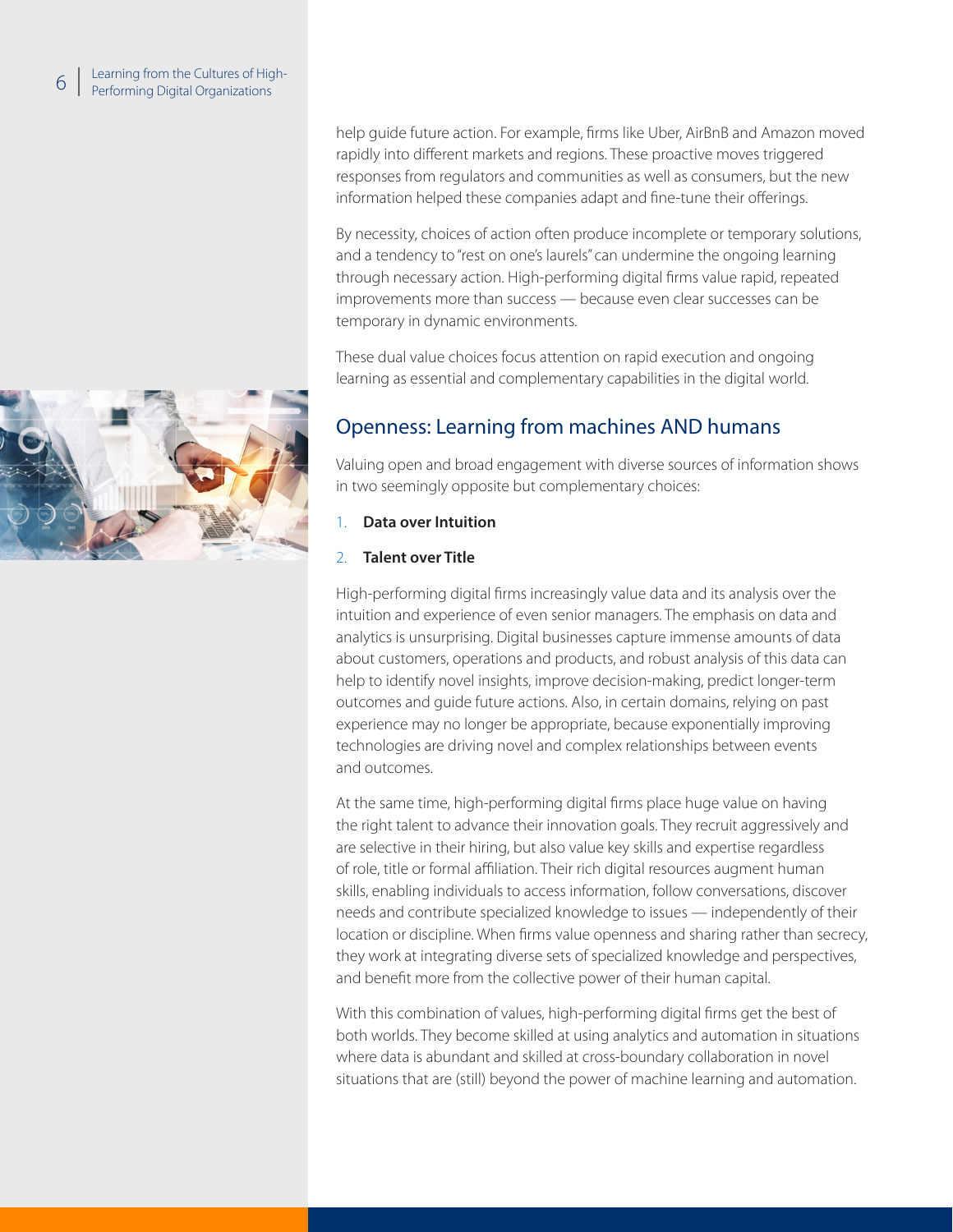

help guide future action. For example, firms like Uber, AirBnB and Amazon moved rapidly into different markets and regions. These proactive moves triggered responses from regulators and communities as well as consumers, but the new information helped these companies adapt and fine-tune their offerings.

By necessity, choices of action often produce incomplete or temporary solutions, and a tendency to "rest on one's laurels" can undermine the ongoing learning through necessary action. High-performing digital firms value rapid, repeated improvements more than success — because even clear successes can be temporary in dynamic environments.

These dual value choices focus attention on rapid execution and ongoing learning as essential and complementary capabilities in the digital world.

### Openness: Learning from machines AND humans

Valuing open and broad engagement with diverse sources of information shows in two seemingly opposite but complementary choices:

- 1. **Data over Intuition**
- 2. **Talent over Title**

High-performing digital firms increasingly value data and its analysis over the intuition and experience of even senior managers. The emphasis on data and analytics is unsurprising. Digital businesses capture immense amounts of data about customers, operations and products, and robust analysis of this data can help to identify novel insights, improve decision-making, predict longer-term outcomes and guide future actions. Also, in certain domains, relying on past experience may no longer be appropriate, because exponentially improving technologies are driving novel and complex relationships between events and outcomes.

At the same time, high-performing digital firms place huge value on having the right talent to advance their innovation goals. They recruit aggressively and are selective in their hiring, but also value key skills and expertise regardless of role, title or formal affiliation. Their rich digital resources augment human skills, enabling individuals to access information, follow conversations, discover needs and contribute specialized knowledge to issues — independently of their location or discipline. When firms value openness and sharing rather than secrecy, they work at integrating diverse sets of specialized knowledge and perspectives, and benefit more from the collective power of their human capital.

With this combination of values, high-performing digital firms get the best of both worlds. They become skilled at using analytics and automation in situations where data is abundant and skilled at cross-boundary collaboration in novel situations that are (still) beyond the power of machine learning and automation.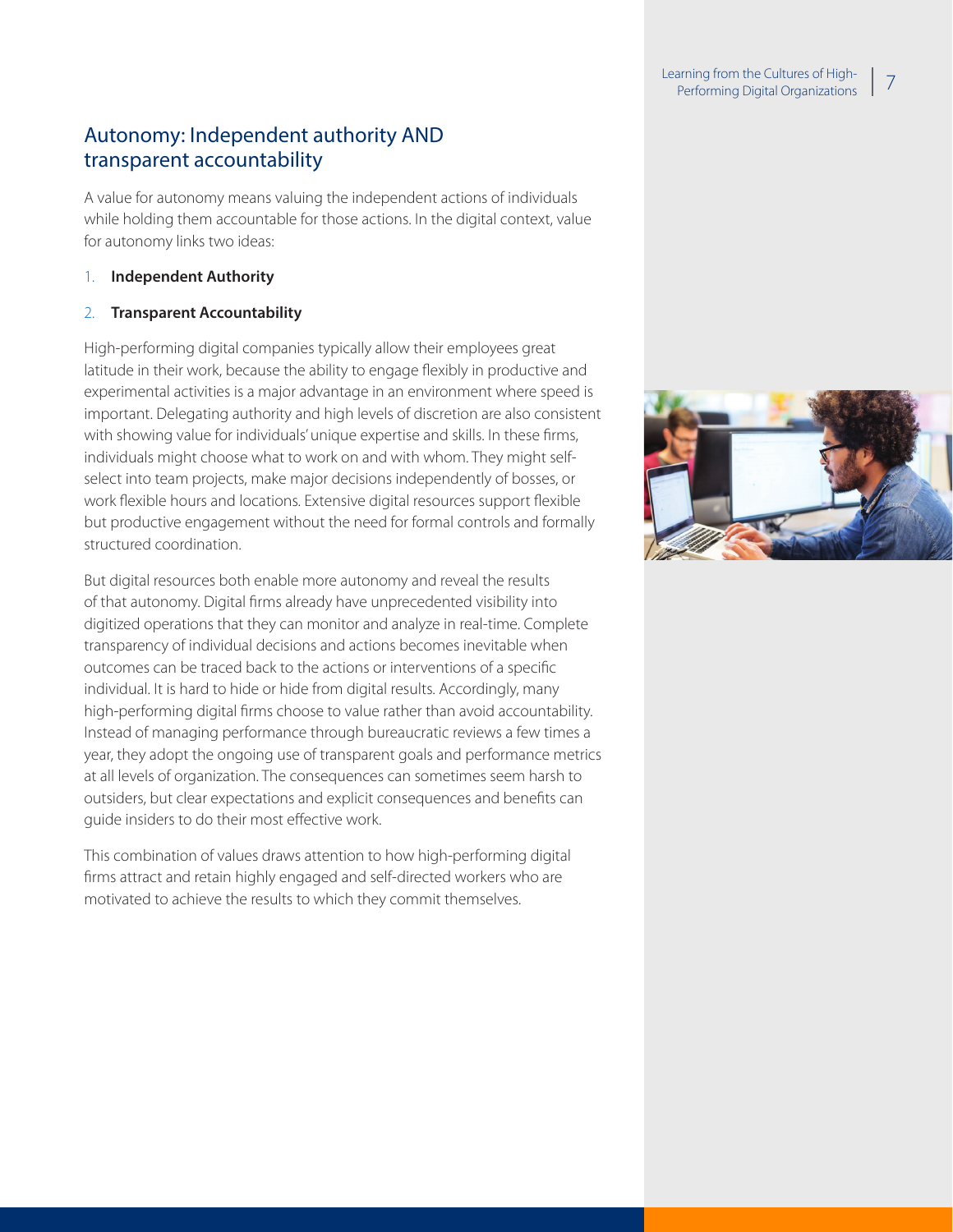#### Learning from the Cultures of Highaming nom the Cultures of Fight-<br>Performing Digital Organizations

## Autonomy: Independent authority AND transparent accountability

A value for autonomy means valuing the independent actions of individuals while holding them accountable for those actions. In the digital context, value for autonomy links two ideas:

#### 1. **Independent Authority**

#### 2. **Transparent Accountability**

High-performing digital companies typically allow their employees great latitude in their work, because the ability to engage flexibly in productive and experimental activities is a major advantage in an environment where speed is important. Delegating authority and high levels of discretion are also consistent with showing value for individuals' unique expertise and skills. In these firms, individuals might choose what to work on and with whom. They might selfselect into team projects, make major decisions independently of bosses, or work flexible hours and locations. Extensive digital resources support flexible but productive engagement without the need for formal controls and formally structured coordination.

But digital resources both enable more autonomy and reveal the results of that autonomy. Digital firms already have unprecedented visibility into digitized operations that they can monitor and analyze in real-time. Complete transparency of individual decisions and actions becomes inevitable when outcomes can be traced back to the actions or interventions of a specific individual. It is hard to hide or hide from digital results. Accordingly, many high-performing digital firms choose to value rather than avoid accountability. Instead of managing performance through bureaucratic reviews a few times a year, they adopt the ongoing use of transparent goals and performance metrics at all levels of organization. The consequences can sometimes seem harsh to outsiders, but clear expectations and explicit consequences and benefits can guide insiders to do their most effective work.

This combination of values draws attention to how high-performing digital firms attract and retain highly engaged and self-directed workers who are motivated to achieve the results to which they commit themselves.

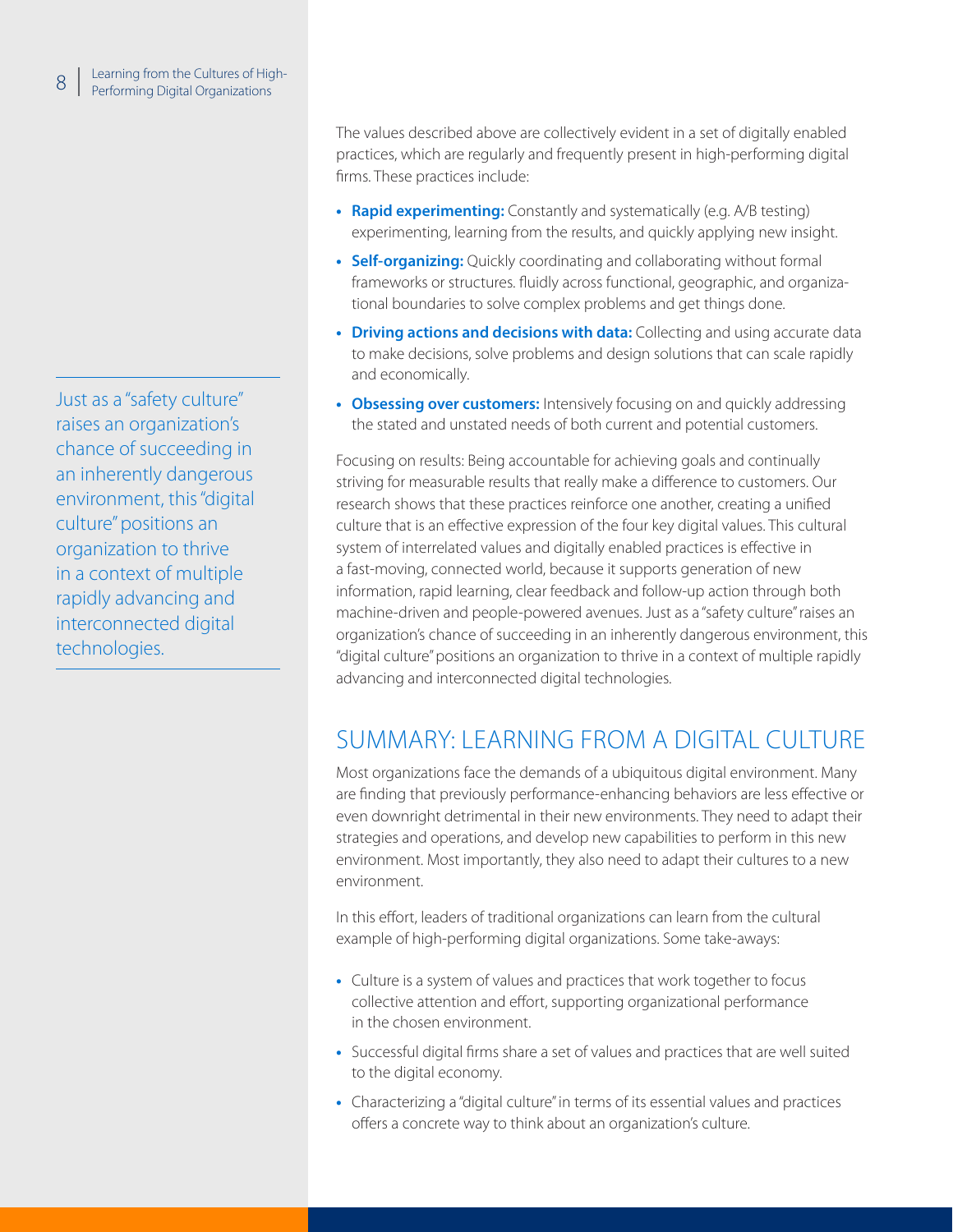Just as a "safety culture" raises an organization's chance of succeeding in an inherently dangerous environment, this "digital culture" positions an organization to thrive in a context of multiple rapidly advancing and interconnected digital technologies.

The values described above are collectively evident in a set of digitally enabled practices, which are regularly and frequently present in high-performing digital firms. These practices include:

- **• Rapid experimenting:** Constantly and systematically (e.g. A/B testing) experimenting, learning from the results, and quickly applying new insight.
- **• Self-organizing:** Quickly coordinating and collaborating without formal frameworks or structures. fluidly across functional, geographic, and organizational boundaries to solve complex problems and get things done.
- **• Driving actions and decisions with data:** Collecting and using accurate data to make decisions, solve problems and design solutions that can scale rapidly and economically.
- **• Obsessing over customers:** Intensively focusing on and quickly addressing the stated and unstated needs of both current and potential customers.

Focusing on results: Being accountable for achieving goals and continually striving for measurable results that really make a difference to customers. Our research shows that these practices reinforce one another, creating a unified culture that is an effective expression of the four key digital values. This cultural system of interrelated values and digitally enabled practices is effective in a fast-moving, connected world, because it supports generation of new information, rapid learning, clear feedback and follow-up action through both machine-driven and people-powered avenues. Just as a "safety culture" raises an organization's chance of succeeding in an inherently dangerous environment, this "digital culture" positions an organization to thrive in a context of multiple rapidly advancing and interconnected digital technologies.

# SUMMARY: LEARNING FROM A DIGITAL CULTURE

Most organizations face the demands of a ubiquitous digital environment. Many are finding that previously performance-enhancing behaviors are less effective or even downright detrimental in their new environments. They need to adapt their strategies and operations, and develop new capabilities to perform in this new environment. Most importantly, they also need to adapt their cultures to a new environment.

In this effort, leaders of traditional organizations can learn from the cultural example of high-performing digital organizations. Some take-aways:

- **•** Culture is a system of values and practices that work together to focus collective attention and effort, supporting organizational performance in the chosen environment.
- **•** Successful digital firms share a set of values and practices that are well suited to the digital economy.
- **•** Characterizing a "digital culture" in terms of its essential values and practices offers a concrete way to think about an organization's culture.